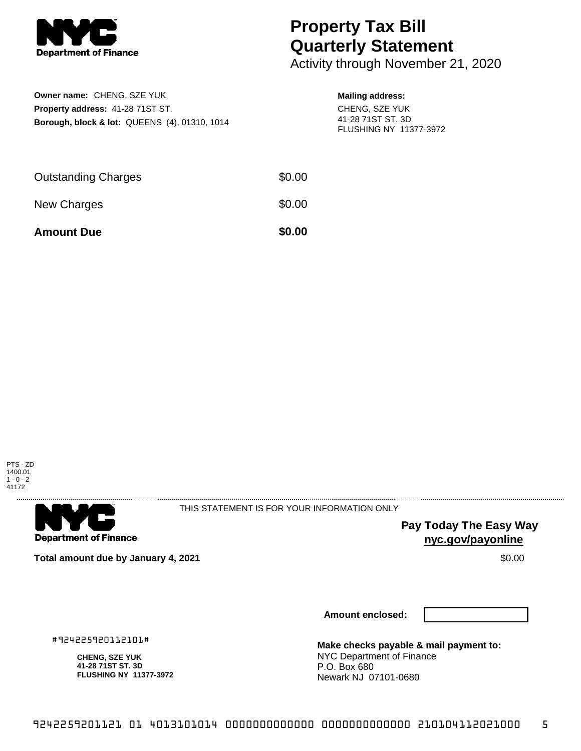

## **Property Tax Bill Quarterly Statement**

Activity through November 21, 2020

| <b>Owner name: CHENG, SZE YUK</b>                        |  |
|----------------------------------------------------------|--|
| Property address: 41-28 71ST ST.                         |  |
| <b>Borough, block &amp; lot: QUEENS (4), 01310, 1014</b> |  |

## **Mailing address:**

CHENG, SZE YUK 41-28 71ST ST. 3D FLUSHING NY 11377-3972

| <b>Amount Due</b>          | \$0.00 |
|----------------------------|--------|
| New Charges                | \$0.00 |
| <b>Outstanding Charges</b> | \$0.00 |





THIS STATEMENT IS FOR YOUR INFORMATION ONLY

**Pay Today The Easy Way nyc.gov/payonline**

**Total amount due by January 4, 2021** \$0.00

**Amount enclosed:**

#924225920112101#

**CHENG, SZE YUK 41-28 71ST ST. 3D FLUSHING NY 11377-3972** **Make checks payable & mail payment to:** NYC Department of Finance P.O. Box 680 Newark NJ 07101-0680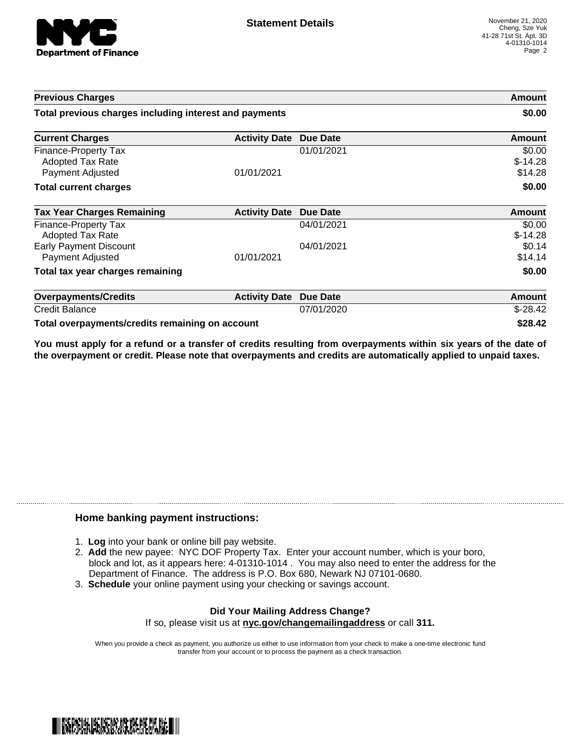

| <b>Previous Charges</b>                                      |                      | Amount<br>\$0.00 |                                |
|--------------------------------------------------------------|----------------------|------------------|--------------------------------|
| Total previous charges including interest and payments       |                      |                  |                                |
| <b>Current Charges</b>                                       | <b>Activity Date</b> | <b>Due Date</b>  | Amount                         |
| Finance-Property Tax<br>Adopted Tax Rate<br>Payment Adjusted | 01/01/2021           | 01/01/2021       | \$0.00<br>$$-14.28$<br>\$14.28 |
| <b>Total current charges</b>                                 |                      |                  | \$0.00                         |
| <b>Tax Year Charges Remaining</b>                            | <b>Activity Date</b> | <b>Due Date</b>  | <b>Amount</b>                  |
| Finance-Property Tax<br>Adopted Tax Rate                     |                      | 04/01/2021       | \$0.00<br>$$-14.28$            |
| <b>Early Payment Discount</b><br>Payment Adjusted            | 01/01/2021           | 04/01/2021       | \$0.14<br>\$14.14              |
| Total tax year charges remaining                             |                      |                  | \$0.00                         |
| <b>Overpayments/Credits</b>                                  | <b>Activity Date</b> | <b>Due Date</b>  | <b>Amount</b>                  |
| <b>Credit Balance</b>                                        |                      | 07/01/2020       | $$-28.42$                      |
| Total overpayments/credits remaining on account              |                      |                  | \$28.42                        |

You must apply for a refund or a transfer of credits resulting from overpayments within six years of the date of **the overpayment or credit. Please note that overpayments and credits are automatically applied to unpaid taxes.**

## **Home banking payment instructions:**

- 1. **Log** into your bank or online bill pay website.
- 2. **Add** the new payee: NYC DOF Property Tax. Enter your account number, which is your boro, block and lot, as it appears here: 4-01310-1014 . You may also need to enter the address for the Department of Finance. The address is P.O. Box 680, Newark NJ 07101-0680.
- 3. **Schedule** your online payment using your checking or savings account.

## **Did Your Mailing Address Change?** If so, please visit us at **nyc.gov/changemailingaddress** or call **311.**

When you provide a check as payment, you authorize us either to use information from your check to make a one-time electronic fund transfer from your account or to process the payment as a check transaction.